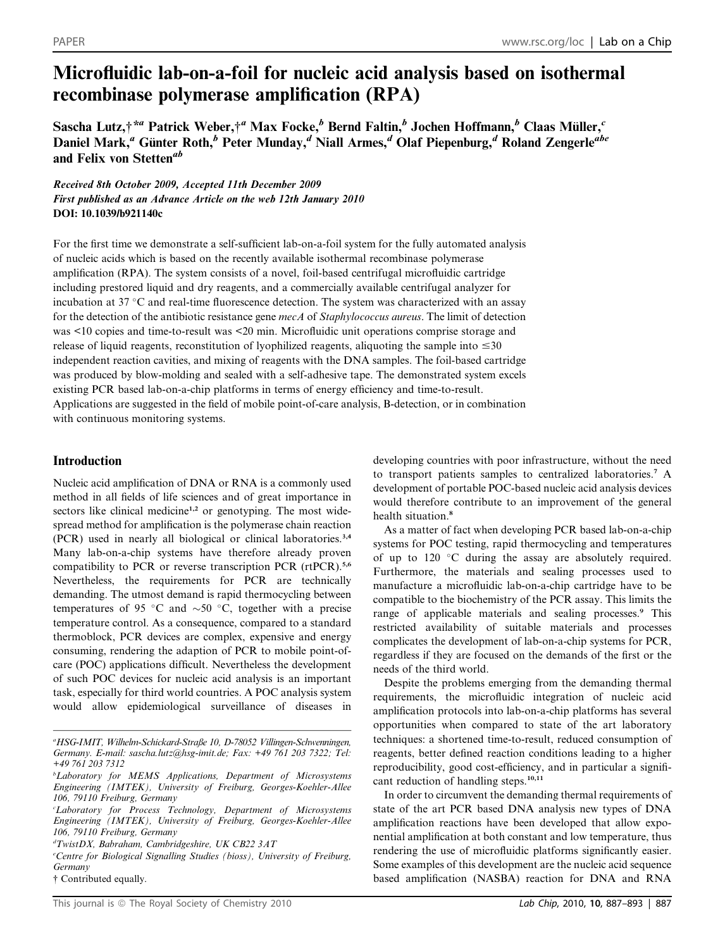# Microfluidic lab-on-a-foil for nucleic acid analysis based on isothermal recombinase polymerase amplification (RPA)

Sascha Lutz, $\dagger^{*a}$  Patrick Weber, $\dagger^a$  Max Focke,<sup>b</sup> Bernd Faltin,<sup>b</sup> Jochen Hoffmann,<sup>b</sup> Claas Müller,<sup>c</sup> Daniel Mark,<sup>a</sup> Günter Roth,<sup>b</sup> Peter Munday,<sup>d</sup> Niall Armes,<sup>d</sup> Olaf Piepenburg,<sup>d</sup> Roland Zengerle<sup>abe</sup> and Felix von Stetten<sup>ab</sup>

Received 8th October 2009, Accepted 11th December 2009 First published as an Advance Article on the web 12th January 2010 DOI: 10.1039/b921140c

For the first time we demonstrate a self-sufficient lab-on-a-foil system for the fully automated analysis of nucleic acids which is based on the recently available isothermal recombinase polymerase amplification (RPA). The system consists of a novel, foil-based centrifugal microfluidic cartridge including prestored liquid and dry reagents, and a commercially available centrifugal analyzer for incubation at 37  $\degree$ C and real-time fluorescence detection. The system was characterized with an assay for the detection of the antibiotic resistance gene mecA of Staphylococcus aureus. The limit of detection was <10 copies and time-to-result was <20 min. Microfluidic unit operations comprise storage and release of liquid reagents, reconstitution of lyophilized reagents, aliquoting the sample into  $\leq 30$ independent reaction cavities, and mixing of reagents with the DNA samples. The foil-based cartridge was produced by blow-molding and sealed with a self-adhesive tape. The demonstrated system excels existing PCR based lab-on-a-chip platforms in terms of energy efficiency and time-to-result. Applications are suggested in the field of mobile point-of-care analysis, B-detection, or in combination with continuous monitoring systems.

# Introduction

Nucleic acid amplification of DNA or RNA is a commonly used method in all fields of life sciences and of great importance in sectors like clinical medicine<sup>1,2</sup> or genotyping. The most widespread method for amplification is the polymerase chain reaction (PCR) used in nearly all biological or clinical laboratories.3,4 Many lab-on-a-chip systems have therefore already proven compatibility to PCR or reverse transcription PCR (rtPCR).<sup>5,6</sup> Nevertheless, the requirements for PCR are technically demanding. The utmost demand is rapid thermocycling between temperatures of 95 °C and  $\sim$  50 °C, together with a precise temperature control. As a consequence, compared to a standard thermoblock, PCR devices are complex, expensive and energy consuming, rendering the adaption of PCR to mobile point-ofcare (POC) applications difficult. Nevertheless the development of such POC devices for nucleic acid analysis is an important task, especially for third world countries. A POC analysis system would allow epidemiological surveillance of diseases in

† Contributed equally.

developing countries with poor infrastructure, without the need to transport patients samples to centralized laboratories.<sup>7</sup> A development of portable POC-based nucleic acid analysis devices would therefore contribute to an improvement of the general health situation.<sup>8</sup>

As a matter of fact when developing PCR based lab-on-a-chip systems for POC testing, rapid thermocycling and temperatures of up to 120 °C during the assay are absolutely required. Furthermore, the materials and sealing processes used to manufacture a microfluidic lab-on-a-chip cartridge have to be compatible to the biochemistry of the PCR assay. This limits the range of applicable materials and sealing processes.<sup>9</sup> This restricted availability of suitable materials and processes complicates the development of lab-on-a-chip systems for PCR, regardless if they are focused on the demands of the first or the needs of the third world.

Despite the problems emerging from the demanding thermal requirements, the microfluidic integration of nucleic acid amplification protocols into lab-on-a-chip platforms has several opportunities when compared to state of the art laboratory techniques: a shortened time-to-result, reduced consumption of reagents, better defined reaction conditions leading to a higher reproducibility, good cost-efficiency, and in particular a significant reduction of handling steps.<sup>10,11</sup>

In order to circumvent the demanding thermal requirements of state of the art PCR based DNA analysis new types of DNA amplification reactions have been developed that allow exponential amplification at both constant and low temperature, thus rendering the use of microfluidic platforms significantly easier. Some examples of this development are the nucleic acid sequence based amplification (NASBA) reaction for DNA and RNA

a HSG-IMIT, Wilhelm-Schickard-Straße 10, D-78052 Villingen-Schwenningen, Germany. E-mail: sascha.lutz@hsg-imit.de; Fax: +49 761 203 7322; Tel: +49 761 203 7312

<sup>&</sup>lt;sup>b</sup>Laboratory for MEMS Applications, Department of Microsystems Engineering (IMTEK), University of Freiburg, Georges-Koehler-Allee 106, 79110 Freiburg, Germany

c Laboratory for Process Technology, Department of Microsystems Engineering (IMTEK), University of Freiburg, Georges-Koehler-Allee 106, 79110 Freiburg, Germany

d TwistDX, Babraham, Cambridgeshire, UK CB22 3AT

e Centre for Biological Signalling Studies (bioss), University of Freiburg, Germany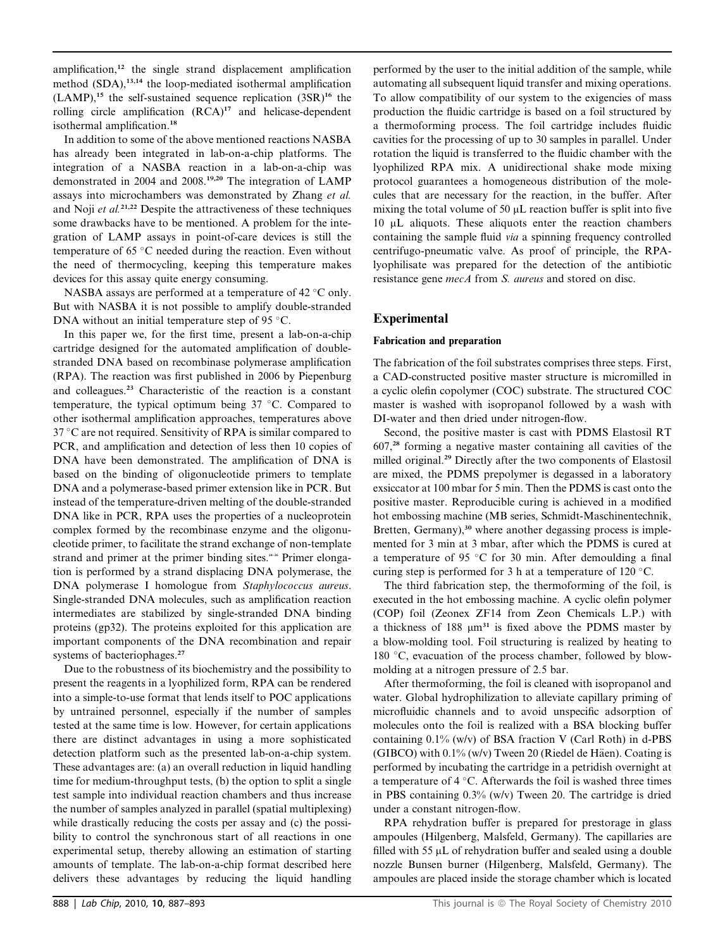amplification, $12$  the single strand displacement amplification method (SDA),13,14 the loop-mediated isothermal amplification  $(LAMP)$ ,<sup>15</sup> the self-sustained sequence replication  $(3SR)^{16}$  the rolling circle amplification  $(RCA)^{17}$  and helicase-dependent isothermal amplification.<sup>18</sup>

In addition to some of the above mentioned reactions NASBA has already been integrated in lab-on-a-chip platforms. The integration of a NASBA reaction in a lab-on-a-chip was demonstrated in 2004 and 2008.19,20 The integration of LAMP assays into microchambers was demonstrated by Zhang et al. and Noji et  $al^{21,22}$  Despite the attractiveness of these techniques some drawbacks have to be mentioned. A problem for the integration of LAMP assays in point-of-care devices is still the temperature of 65  $\degree$ C needed during the reaction. Even without the need of thermocycling, keeping this temperature makes devices for this assay quite energy consuming.

NASBA assays are performed at a temperature of 42  $^{\circ}$ C only. But with NASBA it is not possible to amplify double-stranded DNA without an initial temperature step of 95 $\degree$ C.

In this paper we, for the first time, present a lab-on-a-chip cartridge designed for the automated amplification of doublestranded DNA based on recombinase polymerase amplification (RPA). The reaction was first published in 2006 by Piepenburg and colleagues.<sup>23</sup> Characteristic of the reaction is a constant temperature, the typical optimum being  $37$  °C. Compared to other isothermal amplification approaches, temperatures above  $37 \degree C$  are not required. Sensitivity of RPA is similar compared to PCR, and amplification and detection of less then 10 copies of DNA have been demonstrated. The amplification of DNA is based on the binding of oligonucleotide primers to template DNA and a polymerase-based primer extension like in PCR. But instead of the temperature-driven melting of the double-stranded DNA like in PCR, RPA uses the properties of a nucleoprotein complex formed by the recombinase enzyme and the oligonucleotide primer, to facilitate the strand exchange of non-template strand and primer at the primer binding sites.<sup>2426</sup> Primer elongation is performed by a strand displacing DNA polymerase, the DNA polymerase I homologue from Staphylococcus aureus. Single-stranded DNA molecules, such as amplification reaction intermediates are stabilized by single-stranded DNA binding proteins (gp32). The proteins exploited for this application are important components of the DNA recombination and repair systems of bacteriophages.<sup>27</sup>

Due to the robustness of its biochemistry and the possibility to present the reagents in a lyophilized form, RPA can be rendered into a simple-to-use format that lends itself to POC applications by untrained personnel, especially if the number of samples tested at the same time is low. However, for certain applications there are distinct advantages in using a more sophisticated detection platform such as the presented lab-on-a-chip system. These advantages are: (a) an overall reduction in liquid handling time for medium-throughput tests, (b) the option to split a single test sample into individual reaction chambers and thus increase the number of samples analyzed in parallel (spatial multiplexing) while drastically reducing the costs per assay and (c) the possibility to control the synchronous start of all reactions in one experimental setup, thereby allowing an estimation of starting amounts of template. The lab-on-a-chip format described here delivers these advantages by reducing the liquid handling

performed by the user to the initial addition of the sample, while automating all subsequent liquid transfer and mixing operations. To allow compatibility of our system to the exigencies of mass production the fluidic cartridge is based on a foil structured by a thermoforming process. The foil cartridge includes fluidic cavities for the processing of up to 30 samples in parallel. Under rotation the liquid is transferred to the fluidic chamber with the lyophilized RPA mix. A unidirectional shake mode mixing protocol guarantees a homogeneous distribution of the molecules that are necessary for the reaction, in the buffer. After mixing the total volume of 50  $\mu$ L reaction buffer is split into five 10 mL aliquots. These aliquots enter the reaction chambers containing the sample fluid via a spinning frequency controlled centrifugo-pneumatic valve. As proof of principle, the RPAlyophilisate was prepared for the detection of the antibiotic resistance gene mecA from S. aureus and stored on disc.

# Experimental

## Fabrication and preparation

The fabrication of the foil substrates comprises three steps. First, a CAD-constructed positive master structure is micromilled in a cyclic olefin copolymer (COC) substrate. The structured COC master is washed with isopropanol followed by a wash with DI-water and then dried under nitrogen-flow.

Second, the positive master is cast with PDMS Elastosil RT 607,<sup>28</sup> forming a negative master containing all cavities of the milled original.<sup>29</sup> Directly after the two components of Elastosil are mixed, the PDMS prepolymer is degassed in a laboratory exsiccator at 100 mbar for 5 min. Then the PDMS is cast onto the positive master. Reproducible curing is achieved in a modified hot embossing machine (MB series, Schmidt-Maschinentechnik, Bretten, Germany),<sup>30</sup> where another degassing process is implemented for 3 min at 3 mbar, after which the PDMS is cured at a temperature of 95 °C for 30 min. After demoulding a final curing step is performed for 3 h at a temperature of 120  $^{\circ}$ C.

The third fabrication step, the thermoforming of the foil, is executed in the hot embossing machine. A cyclic olefin polymer (COP) foil (Zeonex ZF14 from Zeon Chemicals L.P.) with a thickness of  $188 \mu m^{31}$  is fixed above the PDMS master by a blow-molding tool. Foil structuring is realized by heating to 180 °C, evacuation of the process chamber, followed by blowmolding at a nitrogen pressure of 2.5 bar.

After thermoforming, the foil is cleaned with isopropanol and water. Global hydrophilization to alleviate capillary priming of microfluidic channels and to avoid unspecific adsorption of molecules onto the foil is realized with a BSA blocking buffer containing  $0.1\%$  (w/v) of BSA fraction V (Carl Roth) in d-PBS (GIBCO) with  $0.1\%$  (w/v) Tween 20 (Riedel de Häen). Coating is performed by incubating the cartridge in a petridish overnight at a temperature of  $4 °C$ . Afterwards the foil is washed three times in PBS containing 0.3% (w/v) Tween 20. The cartridge is dried under a constant nitrogen-flow.

RPA rehydration buffer is prepared for prestorage in glass ampoules (Hilgenberg, Malsfeld, Germany). The capillaries are filled with 55  $\mu$ L of rehydration buffer and sealed using a double nozzle Bunsen burner (Hilgenberg, Malsfeld, Germany). The ampoules are placed inside the storage chamber which is located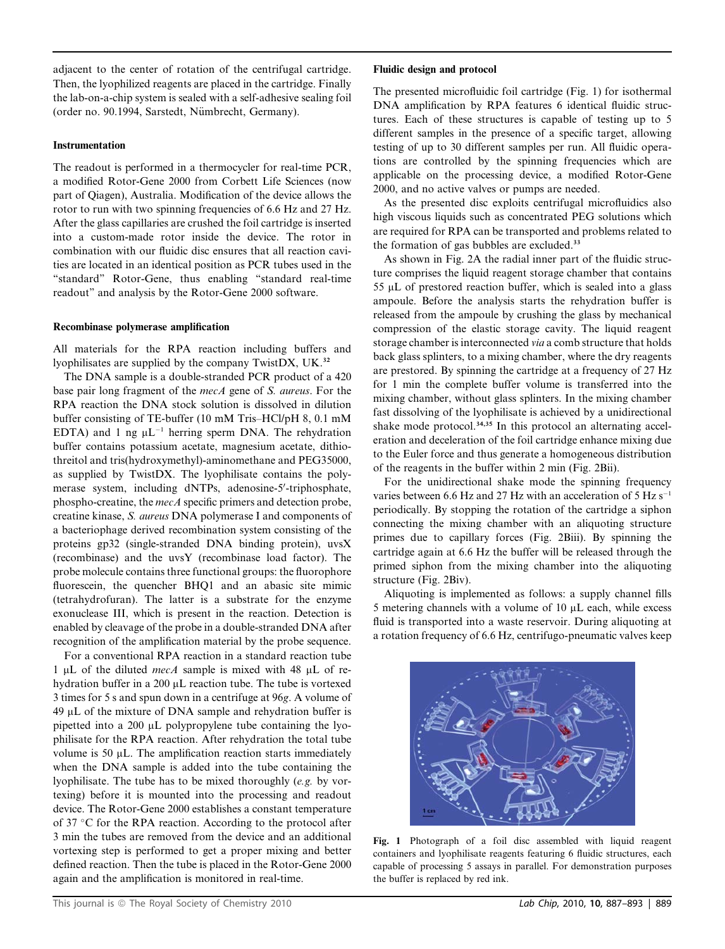adjacent to the center of rotation of the centrifugal cartridge. Then, the lyophilized reagents are placed in the cartridge. Finally the lab-on-a-chip system is sealed with a self-adhesive sealing foil (order no. 90.1994, Sarstedt, Nümbrecht, Germany).

## Instrumentation

The readout is performed in a thermocycler for real-time PCR, a modified Rotor-Gene 2000 from Corbett Life Sciences (now part of Qiagen), Australia. Modification of the device allows the rotor to run with two spinning frequencies of 6.6 Hz and 27 Hz. After the glass capillaries are crushed the foil cartridge is inserted into a custom-made rotor inside the device. The rotor in combination with our fluidic disc ensures that all reaction cavities are located in an identical position as PCR tubes used in the ''standard'' Rotor-Gene, thus enabling ''standard real-time readout'' and analysis by the Rotor-Gene 2000 software.

## Recombinase polymerase amplification

All materials for the RPA reaction including buffers and lyophilisates are supplied by the company TwistDX, UK.<sup>32</sup>

The DNA sample is a double-stranded PCR product of a 420 base pair long fragment of the mecA gene of S. aureus. For the RPA reaction the DNA stock solution is dissolved in dilution buffer consisting of TE-buffer (10 mM Tris–HCl/pH 8, 0.1 mM EDTA) and 1 ng  $\mu L^{-1}$  herring sperm DNA. The rehydration buffer contains potassium acetate, magnesium acetate, dithiothreitol and tris(hydroxymethyl)-aminomethane and PEG35000, as supplied by TwistDX. The lyophilisate contains the polymerase system, including dNTPs, adenosine-5'-triphosphate, phospho-creatine, the mecA specific primers and detection probe, creatine kinase, S. aureus DNA polymerase I and components of a bacteriophage derived recombination system consisting of the proteins gp32 (single-stranded DNA binding protein), uvsX (recombinase) and the uvsY (recombinase load factor). The probe molecule contains three functional groups: the fluorophore fluorescein, the quencher BHQ1 and an abasic site mimic (tetrahydrofuran). The latter is a substrate for the enzyme exonuclease III, which is present in the reaction. Detection is enabled by cleavage of the probe in a double-stranded DNA after recognition of the amplification material by the probe sequence.

For a conventional RPA reaction in a standard reaction tube 1  $\mu$ L of the diluted mecA sample is mixed with 48  $\mu$ L of rehydration buffer in a 200  $\mu$ L reaction tube. The tube is vortexed 3 times for 5 s and spun down in a centrifuge at 96g. A volume of  $49 \mu L$  of the mixture of DNA sample and rehydration buffer is pipetted into a 200  $\mu$ L polypropylene tube containing the lyophilisate for the RPA reaction. After rehydration the total tube volume is 50  $\mu$ L. The amplification reaction starts immediately when the DNA sample is added into the tube containing the lyophilisate. The tube has to be mixed thoroughly (e.g. by vortexing) before it is mounted into the processing and readout device. The Rotor-Gene 2000 establishes a constant temperature of 37 °C for the RPA reaction. According to the protocol after 3 min the tubes are removed from the device and an additional vortexing step is performed to get a proper mixing and better defined reaction. Then the tube is placed in the Rotor-Gene 2000 again and the amplification is monitored in real-time.

The presented microfluidic foil cartridge (Fig. 1) for isothermal DNA amplification by RPA features 6 identical fluidic structures. Each of these structures is capable of testing up to 5 different samples in the presence of a specific target, allowing testing of up to 30 different samples per run. All fluidic operations are controlled by the spinning frequencies which are applicable on the processing device, a modified Rotor-Gene 2000, and no active valves or pumps are needed.

As the presented disc exploits centrifugal microfluidics also high viscous liquids such as concentrated PEG solutions which are required for RPA can be transported and problems related to the formation of gas bubbles are excluded.<sup>33</sup>

As shown in Fig. 2A the radial inner part of the fluidic structure comprises the liquid reagent storage chamber that contains  $55 \mu L$  of prestored reaction buffer, which is sealed into a glass ampoule. Before the analysis starts the rehydration buffer is released from the ampoule by crushing the glass by mechanical compression of the elastic storage cavity. The liquid reagent storage chamber is interconnected via a comb structure that holds back glass splinters, to a mixing chamber, where the dry reagents are prestored. By spinning the cartridge at a frequency of 27 Hz for 1 min the complete buffer volume is transferred into the mixing chamber, without glass splinters. In the mixing chamber fast dissolving of the lyophilisate is achieved by a unidirectional shake mode protocol.<sup>34,35</sup> In this protocol an alternating acceleration and deceleration of the foil cartridge enhance mixing due to the Euler force and thus generate a homogeneous distribution of the reagents in the buffer within 2 min (Fig. 2Bii).

For the unidirectional shake mode the spinning frequency varies between 6.6 Hz and 27 Hz with an acceleration of 5 Hz  $s^{-1}$ periodically. By stopping the rotation of the cartridge a siphon connecting the mixing chamber with an aliquoting structure primes due to capillary forces (Fig. 2Biii). By spinning the cartridge again at 6.6 Hz the buffer will be released through the primed siphon from the mixing chamber into the aliquoting structure (Fig. 2Biv).

Aliquoting is implemented as follows: a supply channel fills 5 metering channels with a volume of  $10 \mu$ L each, while excess fluid is transported into a waste reservoir. During aliquoting at a rotation frequency of 6.6 Hz, centrifugo-pneumatic valves keep



Fig. 1 Photograph of a foil disc assembled with liquid reagent containers and lyophilisate reagents featuring 6 fluidic structures, each capable of processing 5 assays in parallel. For demonstration purposes the buffer is replaced by red ink.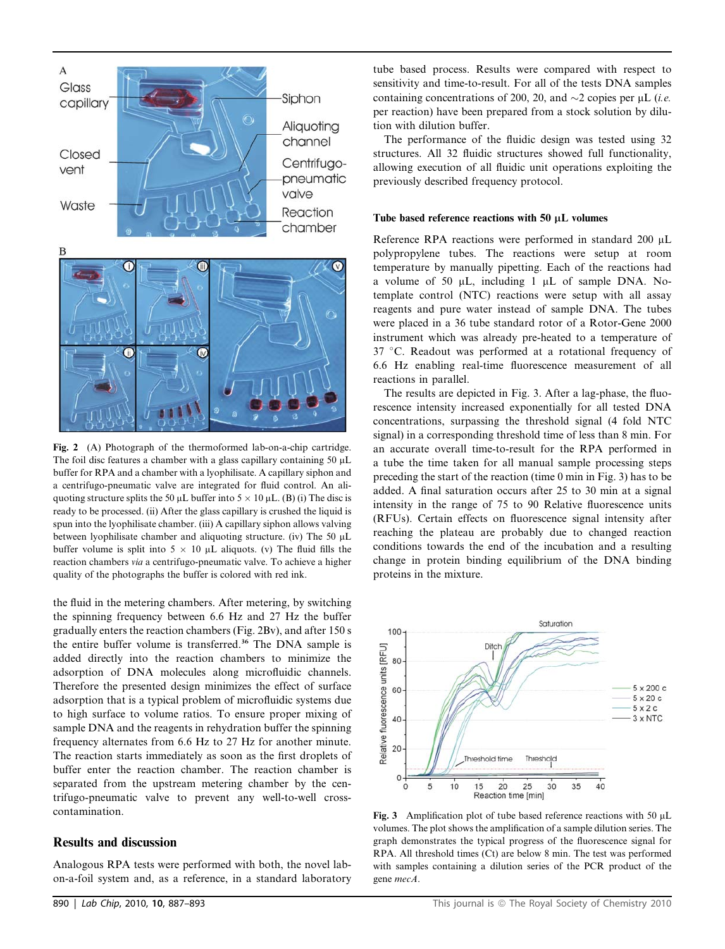

Fig. 2 (A) Photograph of the thermoformed lab-on-a-chip cartridge. The foil disc features a chamber with a glass capillary containing 50  $\mu$ L buffer for RPA and a chamber with a lyophilisate. A capillary siphon and a centrifugo-pneumatic valve are integrated for fluid control. An aliquoting structure splits the 50  $\mu$ L buffer into 5  $\times$  10  $\mu$ L. (B) (i) The disc is ready to be processed. (ii) After the glass capillary is crushed the liquid is spun into the lyophilisate chamber. (iii) A capillary siphon allows valving between lyophilisate chamber and aliquoting structure. (iv) The 50  $\mu$ L buffer volume is split into  $5 \times 10 \mu L$  aliquots. (v) The fluid fills the reaction chambers via a centrifugo-pneumatic valve. To achieve a higher quality of the photographs the buffer is colored with red ink.

the fluid in the metering chambers. After metering, by switching the spinning frequency between 6.6 Hz and 27 Hz the buffer gradually enters the reaction chambers (Fig. 2Bv), and after 150 s the entire buffer volume is transferred.<sup>36</sup> The DNA sample is added directly into the reaction chambers to minimize the adsorption of DNA molecules along microfluidic channels. Therefore the presented design minimizes the effect of surface adsorption that is a typical problem of microfluidic systems due to high surface to volume ratios. To ensure proper mixing of sample DNA and the reagents in rehydration buffer the spinning frequency alternates from 6.6 Hz to 27 Hz for another minute. The reaction starts immediately as soon as the first droplets of buffer enter the reaction chamber. The reaction chamber is separated from the upstream metering chamber by the centrifugo-pneumatic valve to prevent any well-to-well crosscontamination.

## Results and discussion

Analogous RPA tests were performed with both, the novel labon-a-foil system and, as a reference, in a standard laboratory

tube based process. Results were compared with respect to sensitivity and time-to-result. For all of the tests DNA samples containing concentrations of 200, 20, and  $\sim$ 2 copies per µL (*i.e.*) per reaction) have been prepared from a stock solution by dilution with dilution buffer.

The performance of the fluidic design was tested using 32 structures. All 32 fluidic structures showed full functionality, allowing execution of all fluidic unit operations exploiting the previously described frequency protocol.

#### Tube based reference reactions with  $50 \mu L$  volumes

Reference RPA reactions were performed in standard 200 µL polypropylene tubes. The reactions were setup at room temperature by manually pipetting. Each of the reactions had a volume of 50  $\mu$ L, including 1  $\mu$ L of sample DNA. Notemplate control (NTC) reactions were setup with all assay reagents and pure water instead of sample DNA. The tubes were placed in a 36 tube standard rotor of a Rotor-Gene 2000 instrument which was already pre-heated to a temperature of 37 °C. Readout was performed at a rotational frequency of 6.6 Hz enabling real-time fluorescence measurement of all reactions in parallel.

The results are depicted in Fig. 3. After a lag-phase, the fluorescence intensity increased exponentially for all tested DNA concentrations, surpassing the threshold signal (4 fold NTC signal) in a corresponding threshold time of less than 8 min. For an accurate overall time-to-result for the RPA performed in a tube the time taken for all manual sample processing steps preceding the start of the reaction (time 0 min in Fig. 3) has to be added. A final saturation occurs after 25 to 30 min at a signal intensity in the range of 75 to 90 Relative fluorescence units (RFUs). Certain effects on fluorescence signal intensity after reaching the plateau are probably due to changed reaction conditions towards the end of the incubation and a resulting change in protein binding equilibrium of the DNA binding proteins in the mixture.



Fig. 3 Amplification plot of tube based reference reactions with 50  $\mu$ L volumes. The plot shows the amplification of a sample dilution series. The graph demonstrates the typical progress of the fluorescence signal for RPA. All threshold times (Ct) are below 8 min. The test was performed with samples containing a dilution series of the PCR product of the gene mecA.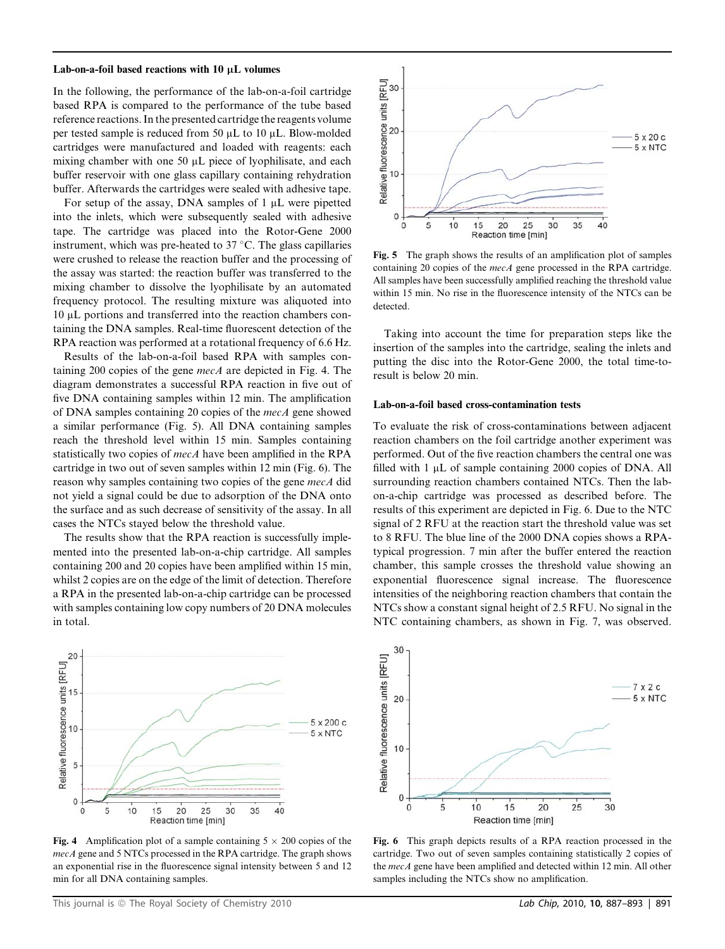#### Lab-on-a-foil based reactions with 10 uL volumes

In the following, the performance of the lab-on-a-foil cartridge based RPA is compared to the performance of the tube based reference reactions. In the presented cartridge the reagents volume per tested sample is reduced from 50  $\mu$ L to 10  $\mu$ L. Blow-molded cartridges were manufactured and loaded with reagents: each mixing chamber with one  $50 \mu L$  piece of lyophilisate, and each buffer reservoir with one glass capillary containing rehydration buffer. Afterwards the cartridges were sealed with adhesive tape.

For setup of the assay, DNA samples of  $1 \mu$ L were pipetted into the inlets, which were subsequently sealed with adhesive tape. The cartridge was placed into the Rotor-Gene 2000 instrument, which was pre-heated to  $37 \degree C$ . The glass capillaries were crushed to release the reaction buffer and the processing of the assay was started: the reaction buffer was transferred to the mixing chamber to dissolve the lyophilisate by an automated frequency protocol. The resulting mixture was aliquoted into  $10 \mu L$  portions and transferred into the reaction chambers containing the DNA samples. Real-time fluorescent detection of the RPA reaction was performed at a rotational frequency of 6.6 Hz.

Results of the lab-on-a-foil based RPA with samples containing 200 copies of the gene  $mech$  are depicted in Fig. 4. The diagram demonstrates a successful RPA reaction in five out of five DNA containing samples within 12 min. The amplification of DNA samples containing 20 copies of the mecA gene showed a similar performance (Fig. 5). All DNA containing samples reach the threshold level within 15 min. Samples containing statistically two copies of mecA have been amplified in the RPA cartridge in two out of seven samples within 12 min (Fig. 6). The reason why samples containing two copies of the gene mecA did not yield a signal could be due to adsorption of the DNA onto the surface and as such decrease of sensitivity of the assay. In all cases the NTCs stayed below the threshold value.

The results show that the RPA reaction is successfully implemented into the presented lab-on-a-chip cartridge. All samples containing 200 and 20 copies have been amplified within 15 min, whilst 2 copies are on the edge of the limit of detection. Therefore a RPA in the presented lab-on-a-chip cartridge can be processed with samples containing low copy numbers of 20 DNA molecules in total.



Fig. 4 Amplification plot of a sample containing  $5 \times 200$  copies of the mecA gene and 5 NTCs processed in the RPA cartridge. The graph shows an exponential rise in the fluorescence signal intensity between 5 and 12 min for all DNA containing samples.



Fig. 5 The graph shows the results of an amplification plot of samples containing 20 copies of the mecA gene processed in the RPA cartridge. All samples have been successfully amplified reaching the threshold value within 15 min. No rise in the fluorescence intensity of the NTCs can be detected.

Taking into account the time for preparation steps like the insertion of the samples into the cartridge, sealing the inlets and putting the disc into the Rotor-Gene 2000, the total time-toresult is below 20 min.

#### Lab-on-a-foil based cross-contamination tests

To evaluate the risk of cross-contaminations between adjacent reaction chambers on the foil cartridge another experiment was performed. Out of the five reaction chambers the central one was filled with 1 µL of sample containing 2000 copies of DNA. All surrounding reaction chambers contained NTCs. Then the labon-a-chip cartridge was processed as described before. The results of this experiment are depicted in Fig. 6. Due to the NTC signal of 2 RFU at the reaction start the threshold value was set to 8 RFU. The blue line of the 2000 DNA copies shows a RPAtypical progression. 7 min after the buffer entered the reaction chamber, this sample crosses the threshold value showing an exponential fluorescence signal increase. The fluorescence intensities of the neighboring reaction chambers that contain the NTCs show a constant signal height of 2.5 RFU. No signal in the NTC containing chambers, as shown in Fig. 7, was observed.



Fig. 6 This graph depicts results of a RPA reaction processed in the cartridge. Two out of seven samples containing statistically 2 copies of the mecA gene have been amplified and detected within 12 min. All other samples including the NTCs show no amplification.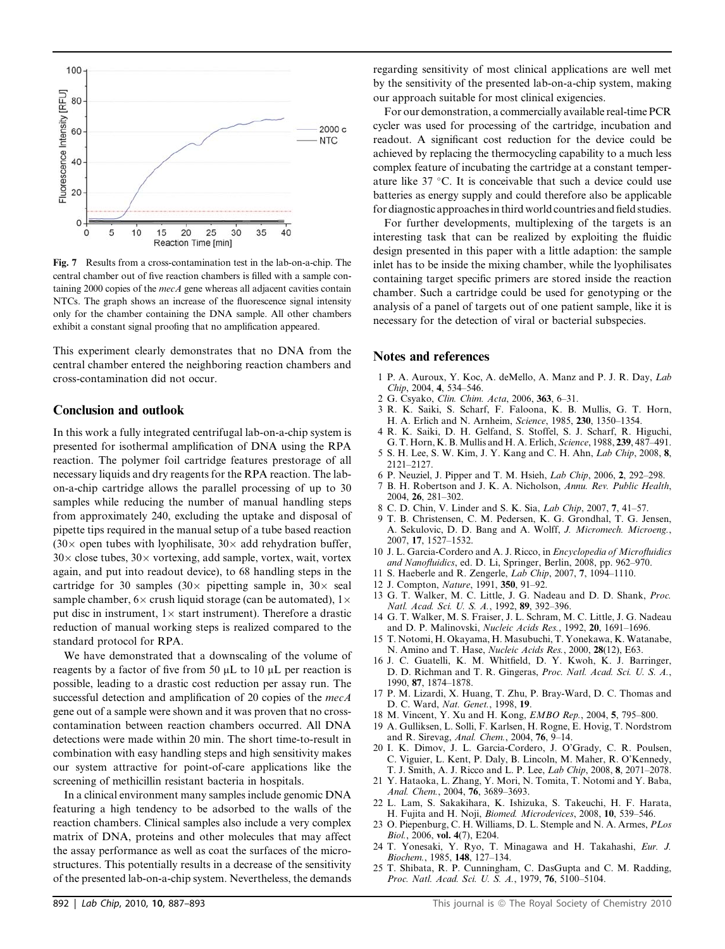

Fig. 7 Results from a cross-contamination test in the lab-on-a-chip. The central chamber out of five reaction chambers is filled with a sample containing 2000 copies of the  $mecA$  gene whereas all adjacent cavities contain NTCs. The graph shows an increase of the fluorescence signal intensity only for the chamber containing the DNA sample. All other chambers exhibit a constant signal proofing that no amplification appeared.

This experiment clearly demonstrates that no DNA from the central chamber entered the neighboring reaction chambers and cross-contamination did not occur.

# Conclusion and outlook

In this work a fully integrated centrifugal lab-on-a-chip system is presented for isothermal amplification of DNA using the RPA reaction. The polymer foil cartridge features prestorage of all necessary liquids and dry reagents for the RPA reaction. The labon-a-chip cartridge allows the parallel processing of up to 30 samples while reducing the number of manual handling steps from approximately 240, excluding the uptake and disposal of pipette tips required in the manual setup of a tube based reaction (30 $\times$  open tubes with lyophilisate, 30 $\times$  add rehydration buffer,  $30 \times$  close tubes,  $30 \times$  vortexing, add sample, vortex, wait, vortex again, and put into readout device), to 68 handling steps in the cartridge for 30 samples  $(30 \times$  pipetting sample in,  $30 \times$  seal sample chamber,  $6 \times$  crush liquid storage (can be automated),  $1 \times$ put disc in instrument,  $1 \times$  start instrument). Therefore a drastic reduction of manual working steps is realized compared to the standard protocol for RPA.

We have demonstrated that a downscaling of the volume of reagents by a factor of five from 50  $\mu$ L to 10  $\mu$ L per reaction is possible, leading to a drastic cost reduction per assay run. The successful detection and amplification of 20 copies of the mecA gene out of a sample were shown and it was proven that no crosscontamination between reaction chambers occurred. All DNA detections were made within 20 min. The short time-to-result in combination with easy handling steps and high sensitivity makes our system attractive for point-of-care applications like the screening of methicillin resistant bacteria in hospitals.

In a clinical environment many samples include genomic DNA featuring a high tendency to be adsorbed to the walls of the reaction chambers. Clinical samples also include a very complex matrix of DNA, proteins and other molecules that may affect the assay performance as well as coat the surfaces of the microstructures. This potentially results in a decrease of the sensitivity of the presented lab-on-a-chip system. Nevertheless, the demands

regarding sensitivity of most clinical applications are well met by the sensitivity of the presented lab-on-a-chip system, making our approach suitable for most clinical exigencies.

For our demonstration, a commercially available real-time PCR cycler was used for processing of the cartridge, incubation and readout. A significant cost reduction for the device could be achieved by replacing the thermocycling capability to a much less complex feature of incubating the cartridge at a constant temperature like  $37 \text{ }^{\circ}\text{C}$ . It is conceivable that such a device could use batteries as energy supply and could therefore also be applicable for diagnostic approaches in third world countries and field studies.

For further developments, multiplexing of the targets is an interesting task that can be realized by exploiting the fluidic design presented in this paper with a little adaption: the sample inlet has to be inside the mixing chamber, while the lyophilisates containing target specific primers are stored inside the reaction chamber. Such a cartridge could be used for genotyping or the analysis of a panel of targets out of one patient sample, like it is necessary for the detection of viral or bacterial subspecies.

#### Notes and references

- 1 P. A. Auroux, Y. Koc, A. deMello, A. Manz and P. J. R. Day, Lab Chip, 2004, 4, 534–546.
- 2 G. Csyako, Clin. Chim. Acta, 2006, 363, 6–31.
- 3 R. K. Saiki, S. Scharf, F. Faloona, K. B. Mullis, G. T. Horn, H. A. Erlich and N. Arnheim, Science, 1985, 230, 1350–1354.
- 4 R. K. Saiki, D. H. Gelfand, S. Stoffel, S. J. Scharf, R. Higuchi, G. T. Horn, K. B. Mullis and H. A. Erlich, Science, 1988, 239, 487–491.
- 5 S. H. Lee, S. W. Kim, J. Y. Kang and C. H. Ahn, Lab Chip, 2008, 8, 2121–2127.
- 6 P. Neuziel, J. Pipper and T. M. Hsieh, Lab Chip, 2006, 2, 292–298.
- 7 B. H. Robertson and J. K. A. Nicholson, Annu. Rev. Public Health, 2004, 26, 281–302.
- 8 C. D. Chin, V. Linder and S. K. Sia, Lab Chip, 2007, 7, 41–57.
- 9 T. B. Christensen, C. M. Pedersen, K. G. Grondhal, T. G. Jensen, A. Sekulovic, D. D. Bang and A. Wolff, J. Micromech. Microeng., 2007, 17, 1527–1532.
- 10 J. L. Garcia-Cordero and A. J. Ricco, in Encyclopedia of Microfluidics and Nanofluidics, ed. D. Li, Springer, Berlin, 2008, pp. 962–970.
- 11 S. Haeberle and R. Zengerle, Lab Chip, 2007, 7, 1094–1110.
- 12 J. Compton, Nature, 1991, 350, 91–92.
- 13 G. T. Walker, M. C. Little, J. G. Nadeau and D. D. Shank, Proc. Natl. Acad. Sci. U. S. A., 1992, 89, 392–396.
- 14 G. T. Walker, M. S. Fraiser, J. L. Schram, M. C. Little, J. G. Nadeau and D. P. Malinovski, Nucleic Acids Res., 1992, 20, 1691–1696.
- 15 T. Notomi, H. Okayama, H. Masubuchi, T. Yonekawa, K. Watanabe, N. Amino and T. Hase, Nucleic Acids Res., 2000, 28(12), E63.
- 16 J. C. Guatelli, K. M. Whitfield, D. Y. Kwoh, K. J. Barringer, D. D. Richman and T. R. Gingeras, Proc. Natl. Acad. Sci. U. S. A., 1990, 87, 1874–1878.
- 17 P. M. Lizardi, X. Huang, T. Zhu, P. Bray-Ward, D. C. Thomas and D. C. Ward, Nat. Genet., 1998, 19.
- 18 M. Vincent, Y. Xu and H. Kong, EMBO Rep., 2004, 5, 795–800.
- 19 A. Gulliksen, L. Solli, F. Karlsen, H. Rogne, E. Hovig, T. Nordstrom and R. Sirevag, Anal. Chem., 2004, 76, 9–14.
- 20 I. K. Dimov, J. L. Garcia-Cordero, J. O'Grady, C. R. Poulsen, C. Viguier, L. Kent, P. Daly, B. Lincoln, M. Maher, R. O'Kennedy, T. J. Smith, A. J. Ricco and L. P. Lee, Lab Chip, 2008, 8, 2071–2078.
- 21 Y. Hataoka, L. Zhang, Y. Mori, N. Tomita, T. Notomi and Y. Baba, Anal. Chem., 2004, 76, 3689–3693.
- 22 L. Lam, S. Sakakihara, K. Ishizuka, S. Takeuchi, H. F. Harata, H. Fujita and H. Noji, Biomed. Microdevices, 2008, 10, 539–546.
- 23 O. Piepenburg, C. H. Williams, D. L. Stemple and N. A. Armes, PLos Biol., 2006, vol. 4(7), E204.
- 24 T. Yonesaki, Y. Ryo, T. Minagawa and H. Takahashi, Eur. J. Biochem., 1985, 148, 127–134.
- 25 T. Shibata, R. P. Cunningham, C. DasGupta and C. M. Radding, Proc. Natl. Acad. Sci. U. S. A., 1979, 76, 5100–5104.